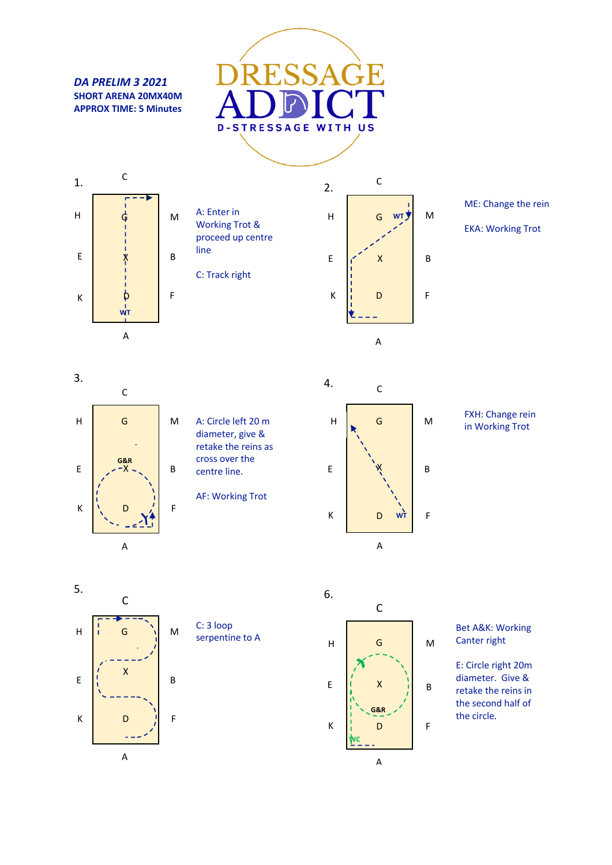*DA PRELIM 3 2021* **SHORT ARENA 20MX40M APPROX TIME: 5 Minutes**





C 2. M H G **WT** E B X K D F  $\blacktriangledown$ L. A

ME: Change the rein

EKA: Working Trot



A: Circle left 20 m diameter, give & retake the reins as cross over the centre line.

AF: Working Trot



FXH: Change rein in Working Trot







Bet A&K: Working Canter right

E: Circle right 20m diameter. Give & retake the reins in the second half of the circle.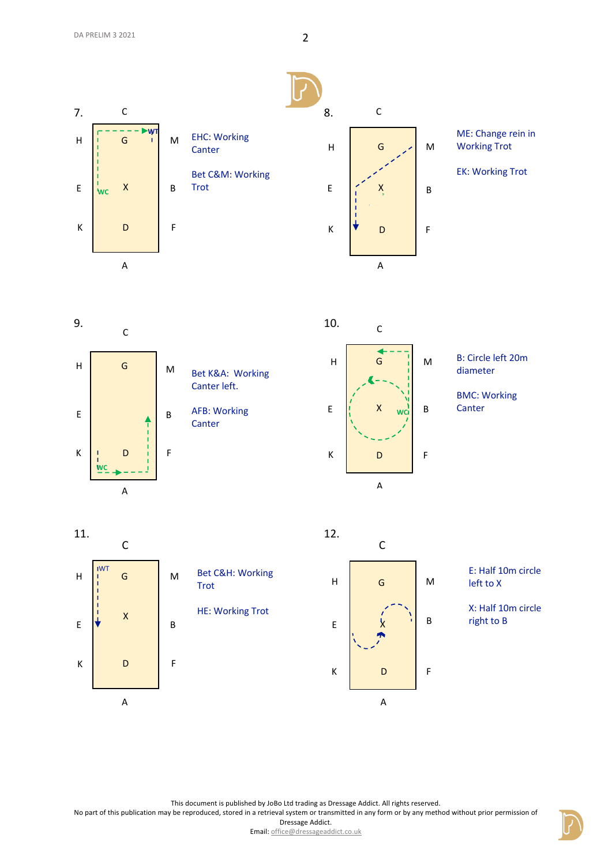

ME: Change rein in Working Trot

EK: Working Trot

H E K M B F G D C

A

**WC**

Bet K&A: Working Canter left. AFB: Working **Canter** 



## B: Circle left 20m diameter

BMC: Working Canter

11.

9.



12.  $\mathsf{\acute{X}}$ C H E K A M B F G D

E: Half 10m circle left to X

X: Half 10m circle right to B

This document is published by JoBo Ltd trading as Dressage Addict. All rights reserved.

No part of this publication may be reproduced, stored in a retrieval system or transmitted in any form or by any method without prior permission of

Dressage Addict.

Email: office@dressageaddict.co.uk